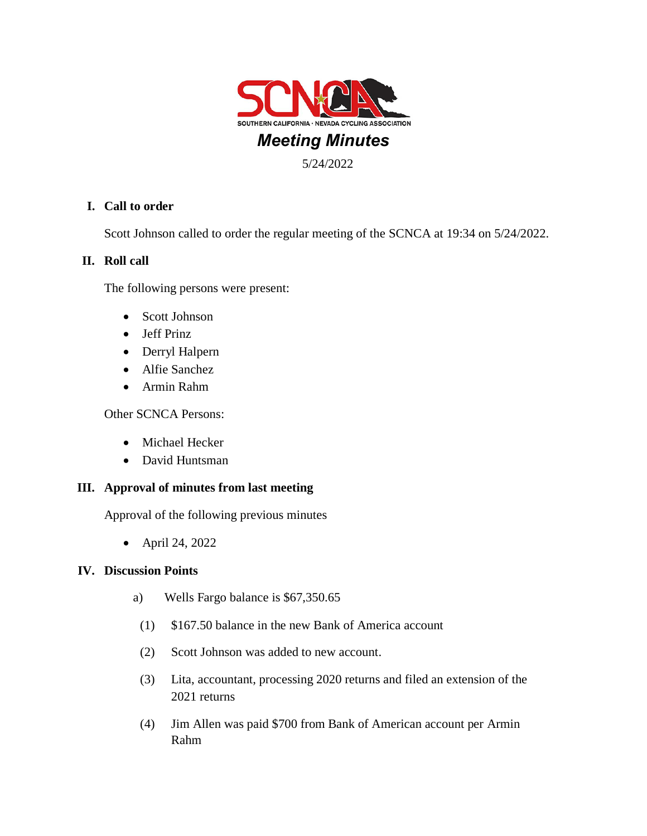

# **I. Call to order**

Scott Johnson called to order the regular meeting of the SCNCA at 19:34 on 5/24/2022.

### **II. Roll call**

The following persons were present:

- Scott Johnson
- Jeff Prinz
- Derryl Halpern
- Alfie Sanchez
- Armin Rahm

Other SCNCA Persons:

- Michael Hecker
- David Huntsman

#### **III. Approval of minutes from last meeting**

Approval of the following previous minutes

• April 24, 2022

#### **IV. Discussion Points**

- a) Wells Fargo balance is \$67,350.65
- (1) \$167.50 balance in the new Bank of America account
- (2) Scott Johnson was added to new account.
- (3) Lita, accountant, processing 2020 returns and filed an extension of the 2021 returns
- (4) Jim Allen was paid \$700 from Bank of American account per Armin Rahm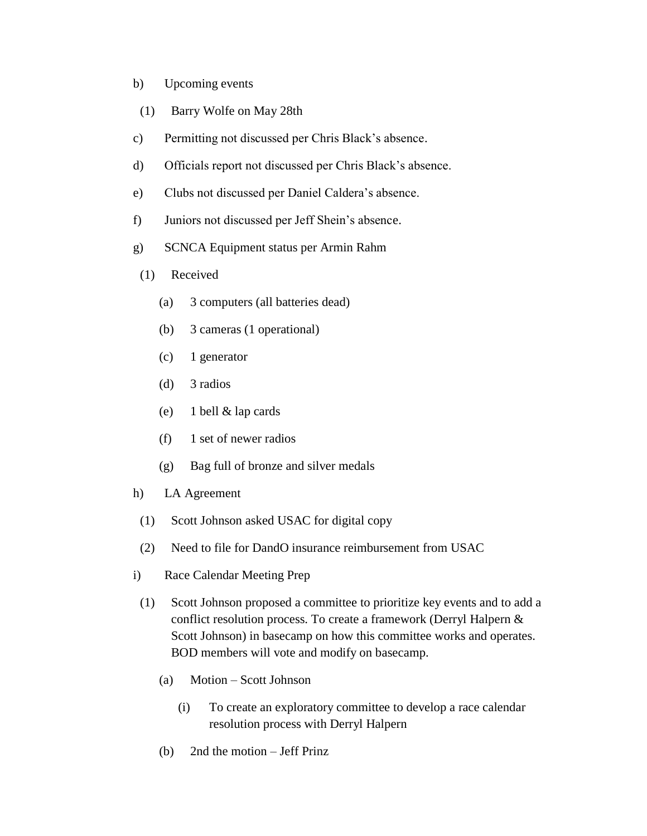- b) Upcoming events
- (1) Barry Wolfe on May 28th
- c) Permitting not discussed per Chris Black's absence.
- d) Officials report not discussed per Chris Black's absence.
- e) Clubs not discussed per Daniel Caldera's absence.
- f) Juniors not discussed per Jeff Shein's absence.
- g) SCNCA Equipment status per Armin Rahm
- (1) Received
	- (a) 3 computers (all batteries dead)
	- (b) 3 cameras (1 operational)
	- (c) 1 generator
	- (d) 3 radios
	- (e) 1 bell & lap cards
	- (f) 1 set of newer radios
	- (g) Bag full of bronze and silver medals
- h) LA Agreement
	- (1) Scott Johnson asked USAC for digital copy
	- (2) Need to file for DandO insurance reimbursement from USAC
- i) Race Calendar Meeting Prep
- (1) Scott Johnson proposed a committee to prioritize key events and to add a conflict resolution process. To create a framework (Derryl Halpern & Scott Johnson) in basecamp on how this committee works and operates. BOD members will vote and modify on basecamp.
	- (a) Motion Scott Johnson
		- (i) To create an exploratory committee to develop a race calendar resolution process with Derryl Halpern
	- (b) 2nd the motion Jeff Prinz